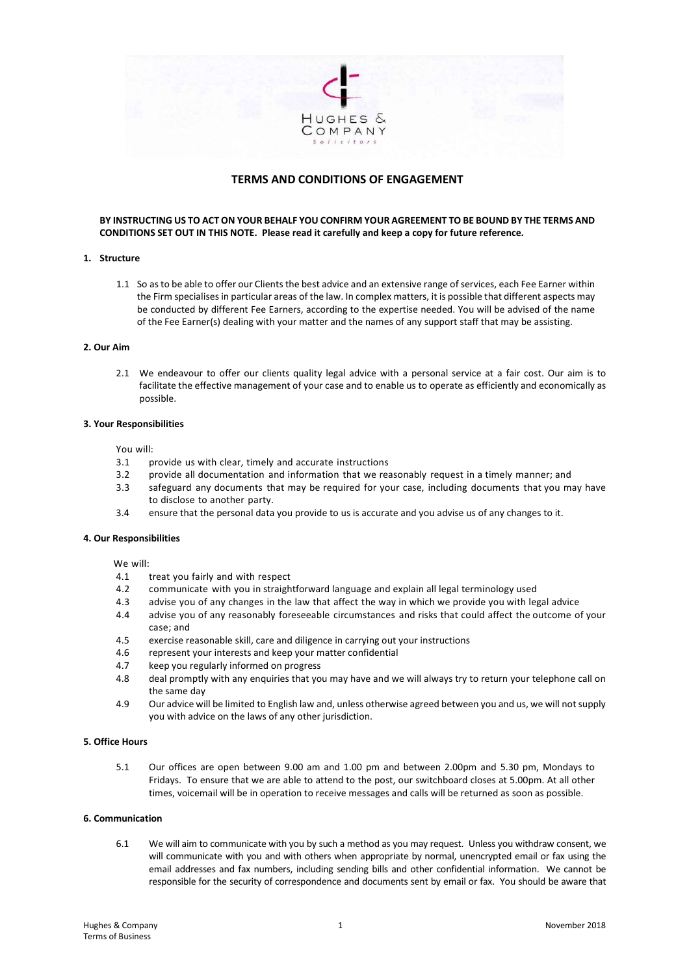

# **TERMS AND CONDITIONS OF ENGAGEMENT**

**BY INSTRUCTING US TO ACT ON YOUR BEHALF YOU CONFIRM YOUR AGREEMENT TO BE BOUND BY THE TERMS AND CONDITIONS SET OUT IN THIS NOTE. Please read it carefully and keep a copy for future reference.** 

# **1. Structure**

1.1 So as to be able to offer our Clients the best advice and an extensive range of services, each Fee Earner within the Firm specialises in particular areas of the law. In complex matters, it is possible that different aspects may be conducted by different Fee Earners, according to the expertise needed. You will be advised of the name of the Fee Earner(s) dealing with your matter and the names of any support staff that may be assisting.

### **2. Our Aim**

2.1 We endeavour to offer our clients quality legal advice with a personal service at a fair cost. Our aim is to facilitate the effective management of your case and to enable us to operate as efficiently and economically as possible.

## **3. Your Responsibilities**

You will:

- 3.1 provide us with clear, timely and accurate instructions
- 3.2 provide all documentation and information that we reasonably request in a timely manner; and
- 3.3 safeguard any documents that may be required for your case, including documents that you may have to disclose to another party.
- 3.4 ensure that the personal data you provide to us is accurate and you advise us of any changes to it.

#### **4. Our Responsibilities**

We will:<br> $4.1$ 

- 4.1 treat you fairly and with respect<br>4.2 communicate with you in straigh
- 4.2 communicate with you in straightforward language and explain all legal terminology used
- 4.3 advise you of any changes in the law that affect the way in which we provide you with legal advice
- 4.4 advise you of any reasonably foreseeable circumstances and risks that could affect the outcome of your case; and
- 4.5 exercise reasonable skill, care and diligence in carrying out your instructions
- 4.6 represent your interests and keep your matter confidential
- 4.7 keep you regularly informed on progress
- 4.8 deal promptly with any enquiries that you may have and we will always try to return your telephone call on the same day
- 4.9 Our advice will be limited to English law and, unless otherwise agreed between you and us, we will not supply you with advice on the laws of any other jurisdiction.

## **5. Office Hours**

5.1 Our offices are open between 9.00 am and 1.00 pm and between 2.00pm and 5.30 pm, Mondays to Fridays. To ensure that we are able to attend to the post, our switchboard closes at 5.00pm. At all other times, voicemail will be in operation to receive messages and calls will be returned as soon as possible.

#### **6. Communication**

6.1 We will aim to communicate with you by such a method as you may request. Unless you withdraw consent, we will communicate with you and with others when appropriate by normal, unencrypted email or fax using the email addresses and fax numbers, including sending bills and other confidential information. We cannot be responsible for the security of correspondence and documents sent by email or fax. You should be aware that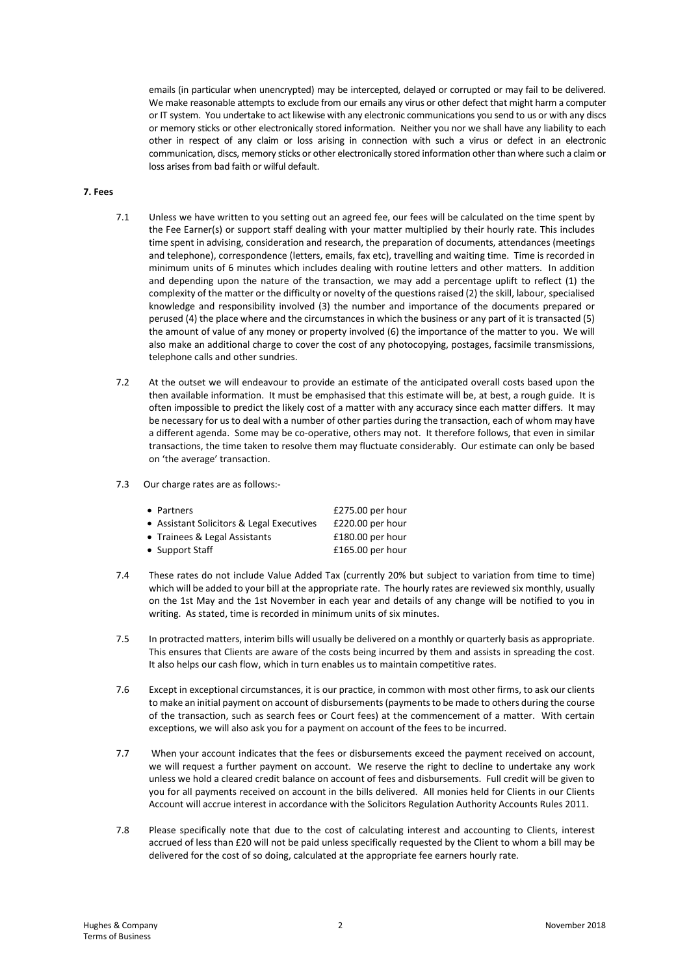emails (in particular when unencrypted) may be intercepted, delayed or corrupted or may fail to be delivered. We make reasonable attempts to exclude from our emails any virus or other defect that might harm a computer or IT system. You undertake to act likewise with any electronic communications you send to us or with any discs or memory sticks or other electronically stored information. Neither you nor we shall have any liability to each other in respect of any claim or loss arising in connection with such a virus or defect in an electronic communication, discs, memory sticks or other electronically stored information other than where such a claim or loss arises from bad faith or wilful default.

## **7. Fees**

- 7.1 Unless we have written to you setting out an agreed fee, our fees will be calculated on the time spent by the Fee Earner(s) or support staff dealing with your matter multiplied by their hourly rate. This includes time spent in advising, consideration and research, the preparation of documents, attendances (meetings and telephone), correspondence (letters, emails, fax etc), travelling and waiting time. Time is recorded in minimum units of 6 minutes which includes dealing with routine letters and other matters. In addition and depending upon the nature of the transaction, we may add a percentage uplift to reflect (1) the complexity of the matter or the difficulty or novelty of the questions raised (2) the skill, labour, specialised knowledge and responsibility involved (3) the number and importance of the documents prepared or perused (4) the place where and the circumstances in which the business or any part of it is transacted (5) the amount of value of any money or property involved (6) the importance of the matter to you. We will also make an additional charge to cover the cost of any photocopying, postages, facsimile transmissions, telephone calls and other sundries.
- 7.2 At the outset we will endeavour to provide an estimate of the anticipated overall costs based upon the then available information. It must be emphasised that this estimate will be, at best, a rough guide. It is often impossible to predict the likely cost of a matter with any accuracy since each matter differs. It may be necessary for us to deal with a number of other parties during the transaction, each of whom may have a different agenda. Some may be co-operative, others may not. It therefore follows, that even in similar transactions, the time taken to resolve them may fluctuate considerably. Our estimate can only be based on 'the average' transaction.
- 7.3 Our charge rates are as follows:-

| • Partners                                | £275.00 per hour   |
|-------------------------------------------|--------------------|
| • Assistant Solicitors & Legal Executives | £220.00 per hour   |
| • Trainees & Legal Assistants             | £180.00 per hour   |
| • Support Staff                           | $£165.00$ per hour |

- 7.4 These rates do not include Value Added Tax (currently 20% but subject to variation from time to time) which will be added to your bill at the appropriate rate. The hourly rates are reviewed six monthly, usually on the 1st May and the 1st November in each year and details of any change will be notified to you in writing. As stated, time is recorded in minimum units of six minutes.
- 7.5 In protracted matters, interim bills will usually be delivered on a monthly or quarterly basis as appropriate. This ensures that Clients are aware of the costs being incurred by them and assists in spreading the cost. It also helps our cash flow, which in turn enables us to maintain competitive rates.
- 7.6 Except in exceptional circumstances, it is our practice, in common with most other firms, to ask our clients to make an initial payment on account of disbursements (payments to be made to others during the course of the transaction, such as search fees or Court fees) at the commencement of a matter. With certain exceptions, we will also ask you for a payment on account of the fees to be incurred.
- 7.7 When your account indicates that the fees or disbursements exceed the payment received on account, we will request a further payment on account. We reserve the right to decline to undertake any work unless we hold a cleared credit balance on account of fees and disbursements. Full credit will be given to you for all payments received on account in the bills delivered. All monies held for Clients in our Clients Account will accrue interest in accordance with the Solicitors Regulation Authority Accounts Rules 2011.
- 7.8 Please specifically note that due to the cost of calculating interest and accounting to Clients, interest accrued of less than £20 will not be paid unless specifically requested by the Client to whom a bill may be delivered for the cost of so doing, calculated at the appropriate fee earners hourly rate.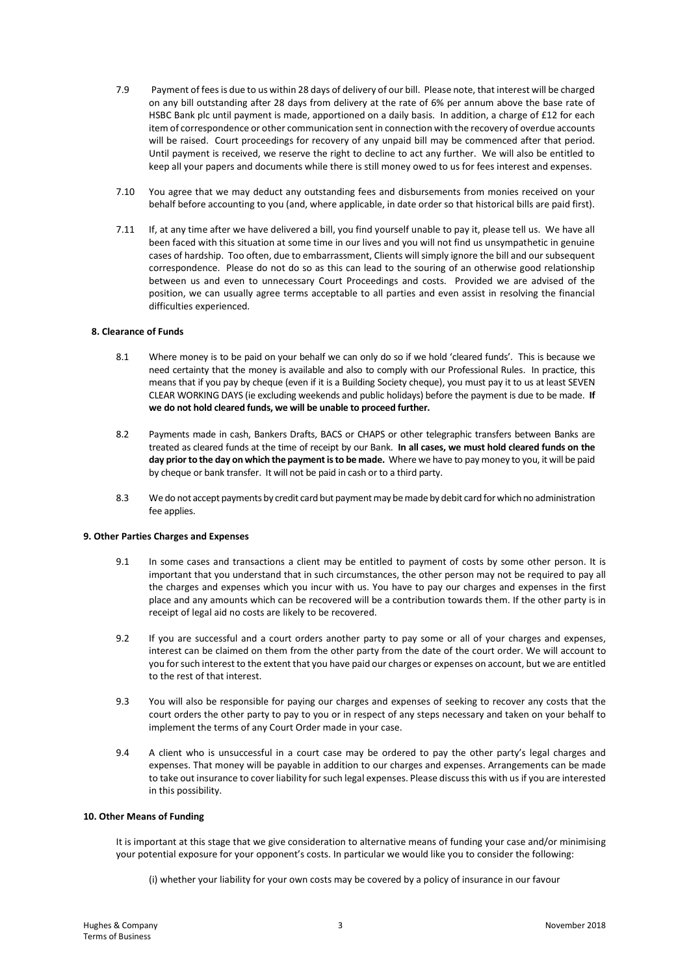- 7.9 Payment of fees is due to us within 28 days of delivery of our bill. Please note, that interest will be charged on any bill outstanding after 28 days from delivery at the rate of 6% per annum above the base rate of HSBC Bank plc until payment is made, apportioned on a daily basis. In addition, a charge of £12 for each item of correspondence or other communication sent in connection with the recovery of overdue accounts will be raised. Court proceedings for recovery of any unpaid bill may be commenced after that period. Until payment is received, we reserve the right to decline to act any further. We will also be entitled to keep all your papers and documents while there is still money owed to us for fees interest and expenses.
- 7.10 You agree that we may deduct any outstanding fees and disbursements from monies received on your behalf before accounting to you (and, where applicable, in date order so that historical bills are paid first).
- 7.11 If, at any time after we have delivered a bill, you find yourself unable to pay it, please tell us. We have all been faced with this situation at some time in our lives and you will not find us unsympathetic in genuine cases of hardship. Too often, due to embarrassment, Clients will simply ignore the bill and our subsequent correspondence. Please do not do so as this can lead to the souring of an otherwise good relationship between us and even to unnecessary Court Proceedings and costs. Provided we are advised of the position, we can usually agree terms acceptable to all parties and even assist in resolving the financial difficulties experienced.

## **8. Clearance of Funds**

- 8.1 Where money is to be paid on your behalf we can only do so if we hold 'cleared funds'. This is because we need certainty that the money is available and also to comply with our Professional Rules. In practice, this means that if you pay by cheque (even if it is a Building Society cheque), you must pay it to us at least SEVEN CLEAR WORKING DAYS (ie excluding weekends and public holidays) before the payment is due to be made. **If we do not hold cleared funds, we will be unable to proceed further.**
- 8.2 Payments made in cash, Bankers Drafts, BACS or CHAPS or other telegraphic transfers between Banks are treated as cleared funds at the time of receipt by our Bank. **In all cases, we must hold cleared funds on the day prior to the day on which the payment is to be made.** Where we have to pay money to you, it will be paid by cheque or bank transfer. It will not be paid in cash or to a third party.
- 8.3 We do not accept payments by credit card but payment may be made by debit card for which no administration fee applies.

#### **9. Other Parties Charges and Expenses**

- 9.1 In some cases and transactions a client may be entitled to payment of costs by some other person. It is important that you understand that in such circumstances, the other person may not be required to pay all the charges and expenses which you incur with us. You have to pay our charges and expenses in the first place and any amounts which can be recovered will be a contribution towards them. If the other party is in receipt of legal aid no costs are likely to be recovered.
- 9.2 If you are successful and a court orders another party to pay some or all of your charges and expenses, interest can be claimed on them from the other party from the date of the court order. We will account to you for such interest to the extent that you have paid our charges or expenses on account, but we are entitled to the rest of that interest.
- 9.3 You will also be responsible for paying our charges and expenses of seeking to recover any costs that the court orders the other party to pay to you or in respect of any steps necessary and taken on your behalf to implement the terms of any Court Order made in your case.
- 9.4 A client who is unsuccessful in a court case may be ordered to pay the other party's legal charges and expenses. That money will be payable in addition to our charges and expenses. Arrangements can be made to take out insurance to cover liability for such legal expenses. Please discuss this with us if you are interested in this possibility.

### **10. Other Means of Funding**

It is important at this stage that we give consideration to alternative means of funding your case and/or minimising your potential exposure for your opponent's costs. In particular we would like you to consider the following:

(i) whether your liability for your own costs may be covered by a policy of insurance in our favour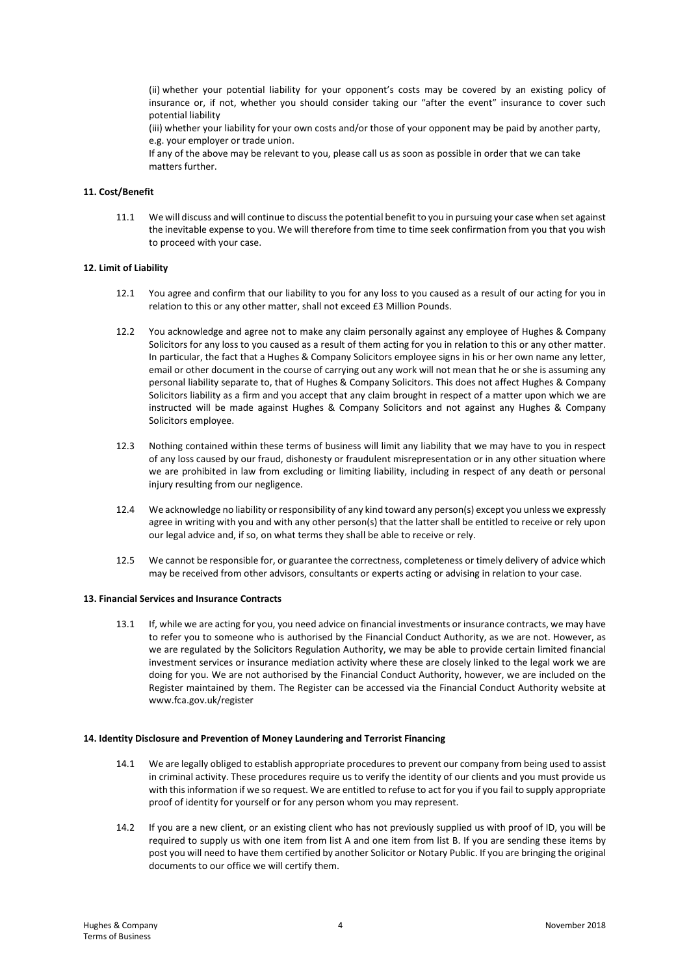(ii) whether your potential liability for your opponent's costs may be covered by an existing policy of insurance or, if not, whether you should consider taking our "after the event" insurance to cover such potential liability

(iii) whether your liability for your own costs and/or those of your opponent may be paid by another party, e.g. your employer or trade union.

If any of the above may be relevant to you, please call us as soon as possible in order that we can take matters further.

## **11. Cost/Benefit**

11.1 We will discuss and will continue to discuss the potential benefit to you in pursuing your case when set against the inevitable expense to you. We will therefore from time to time seek confirmation from you that you wish to proceed with your case.

### **12. Limit of Liability**

- 12.1 You agree and confirm that our liability to you for any loss to you caused as a result of our acting for you in relation to this or any other matter, shall not exceed £3 Million Pounds.
- 12.2 You acknowledge and agree not to make any claim personally against any employee of Hughes & Company Solicitors for any loss to you caused as a result of them acting for you in relation to this or any other matter. In particular, the fact that a Hughes & Company Solicitors employee signs in his or her own name any letter, email or other document in the course of carrying out any work will not mean that he or she is assuming any personal liability separate to, that of Hughes & Company Solicitors. This does not affect Hughes & Company Solicitors liability as a firm and you accept that any claim brought in respect of a matter upon which we are instructed will be made against Hughes & Company Solicitors and not against any Hughes & Company Solicitors employee.
- 12.3 Nothing contained within these terms of business will limit any liability that we may have to you in respect of any loss caused by our fraud, dishonesty or fraudulent misrepresentation or in any other situation where we are prohibited in law from excluding or limiting liability, including in respect of any death or personal injury resulting from our negligence.
- 12.4 We acknowledge no liability or responsibility of any kind toward any person(s) except you unless we expressly agree in writing with you and with any other person(s) that the latter shall be entitled to receive or rely upon our legal advice and, if so, on what terms they shall be able to receive or rely.
- 12.5 We cannot be responsible for, or guarantee the correctness, completeness or timely delivery of advice which may be received from other advisors, consultants or experts acting or advising in relation to your case.

### **13. Financial Services and Insurance Contracts**

13.1 If, while we are acting for you, you need advice on financial investments or insurance contracts, we may have to refer you to someone who is authorised by the Financial Conduct Authority, as we are not. However, as we are regulated by the Solicitors Regulation Authority, we may be able to provide certain limited financial investment services or insurance mediation activity where these are closely linked to the legal work we are doing for you. We are not authorised by the Financial Conduct Authority, however, we are included on the Register maintained by them. The Register can be accessed via the Financial Conduct Authority website at www.fca.gov.uk/register

## **14. Identity Disclosure and Prevention of Money Laundering and Terrorist Financing**

- 14.1 We are legally obliged to establish appropriate procedures to prevent our company from being used to assist in criminal activity. These procedures require us to verify the identity of our clients and you must provide us with this information if we so request. We are entitled to refuse to act for you if you fail to supply appropriate proof of identity for yourself or for any person whom you may represent.
- 14.2 If you are a new client, or an existing client who has not previously supplied us with proof of ID, you will be required to supply us with one item from list A and one item from list B. If you are sending these items by post you will need to have them certified by another Solicitor or Notary Public. If you are bringing the original documents to our office we will certify them.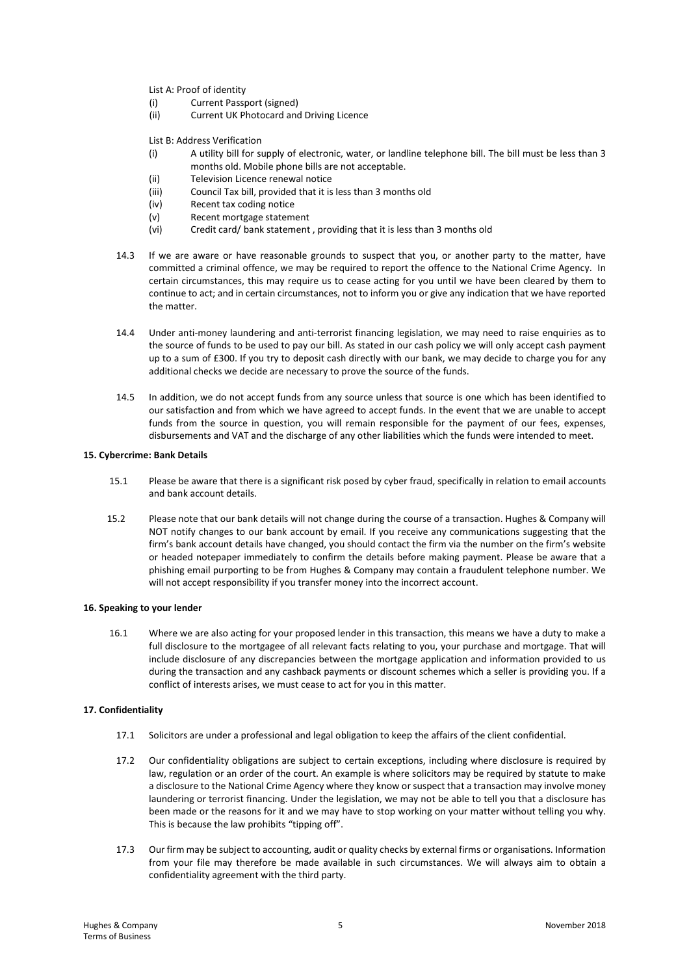List A: Proof of identity

- (i) Current Passport (signed)
- (ii) Current UK Photocard and Driving Licence

List B: Address Verification

- (i) A utility bill for supply of electronic, water, or landline telephone bill. The bill must be less than 3 months old. Mobile phone bills are not acceptable.
- (ii) Television Licence renewal notice
- (iii) Council Tax bill, provided that it is less than 3 months old
- (iv) Recent tax coding notice
- (v) Recent mortgage statement
- (vi) Credit card/ bank statement , providing that it is less than 3 months old
- 14.3 If we are aware or have reasonable grounds to suspect that you, or another party to the matter, have committed a criminal offence, we may be required to report the offence to the National Crime Agency. In certain circumstances, this may require us to cease acting for you until we have been cleared by them to continue to act; and in certain circumstances, not to inform you or give any indication that we have reported the matter.
- 14.4 Under anti-money laundering and anti-terrorist financing legislation, we may need to raise enquiries as to the source of funds to be used to pay our bill. As stated in our cash policy we will only accept cash payment up to a sum of £300. If you try to deposit cash directly with our bank, we may decide to charge you for any additional checks we decide are necessary to prove the source of the funds.
- 14.5 In addition, we do not accept funds from any source unless that source is one which has been identified to our satisfaction and from which we have agreed to accept funds. In the event that we are unable to accept funds from the source in question, you will remain responsible for the payment of our fees, expenses, disbursements and VAT and the discharge of any other liabilities which the funds were intended to meet.

### **15. Cybercrime: Bank Details**

- 15.1 Please be aware that there is a significant risk posed by cyber fraud, specifically in relation to email accounts and bank account details.
- 15.2 Please note that our bank details will not change during the course of a transaction. Hughes & Company will NOT notify changes to our bank account by email. If you receive any communications suggesting that the firm's bank account details have changed, you should contact the firm via the number on the firm's website or headed notepaper immediately to confirm the details before making payment. Please be aware that a phishing email purporting to be from Hughes & Company may contain a fraudulent telephone number. We will not accept responsibility if you transfer money into the incorrect account.

#### **16. Speaking to your lender**

 16.1 Where we are also acting for your proposed lender in this transaction, this means we have a duty to make a full disclosure to the mortgagee of all relevant facts relating to you, your purchase and mortgage. That will include disclosure of any discrepancies between the mortgage application and information provided to us during the transaction and any cashback payments or discount schemes which a seller is providing you. If a conflict of interests arises, we must cease to act for you in this matter.

#### **17. Confidentiality**

- 17.1 Solicitors are under a professional and legal obligation to keep the affairs of the client confidential.
- 17.2 Our confidentiality obligations are subject to certain exceptions, including where disclosure is required by law, regulation or an order of the court. An example is where solicitors may be required by statute to make a disclosure to the National Crime Agency where they know or suspect that a transaction may involve money laundering or terrorist financing. Under the legislation, we may not be able to tell you that a disclosure has been made or the reasons for it and we may have to stop working on your matter without telling you why. This is because the law prohibits "tipping off".
- 17.3 Our firm may be subject to accounting, audit or quality checks by external firms or organisations. Information from your file may therefore be made available in such circumstances. We will always aim to obtain a confidentiality agreement with the third party.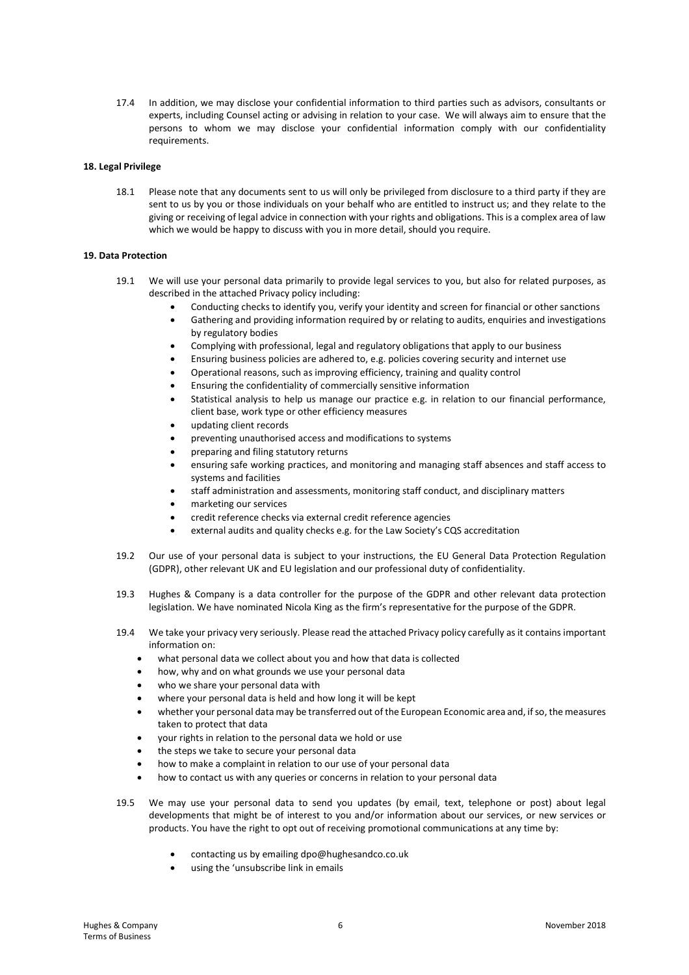17.4 In addition, we may disclose your confidential information to third parties such as advisors, consultants or experts, including Counsel acting or advising in relation to your case. We will always aim to ensure that the persons to whom we may disclose your confidential information comply with our confidentiality requirements.

## **18. Legal Privilege**

18.1 Please note that any documents sent to us will only be privileged from disclosure to a third party if they are sent to us by you or those individuals on your behalf who are entitled to instruct us; and they relate to the giving or receiving of legal advice in connection with your rights and obligations. This is a complex area of law which we would be happy to discuss with you in more detail, should you require.

## **19. Data Protection**

- 19.1 We will use your personal data primarily to provide legal services to you, but also for related purposes, as described in the attached Privacy policy including:
	- Conducting checks to identify you, verify your identity and screen for financial or other sanctions
	- Gathering and providing information required by or relating to audits, enquiries and investigations by regulatory bodies
	- Complying with professional, legal and regulatory obligations that apply to our business
	- Ensuring business policies are adhered to, e.g. policies covering security and internet use
	- Operational reasons, such as improving efficiency, training and quality control
	- Ensuring the confidentiality of commercially sensitive information
	- Statistical analysis to help us manage our practice e.g. in relation to our financial performance, client base, work type or other efficiency measures
	- updating client records
	- preventing unauthorised access and modifications to systems
	- preparing and filing statutory returns
	- ensuring safe working practices, and monitoring and managing staff absences and staff access to systems and facilities
	- staff administration and assessments, monitoring staff conduct, and disciplinary matters
	- marketing our services
	- credit reference checks via external credit reference agencies
	- external audits and quality checks e.g. for the Law Society's CQS accreditation
- 19.2 Our use of your personal data is subject to your instructions, the EU General Data Protection Regulation (GDPR), other relevant UK and EU legislation and our professional duty of confidentiality.
- 19.3 Hughes & Company is a data controller for the purpose of the GDPR and other relevant data protection legislation. We have nominated Nicola King as the firm's representative for the purpose of the GDPR.
- 19.4 We take your privacy very seriously. Please read the attached Privacy policy carefully as it contains important information on:
	- what personal data we collect about you and how that data is collected
	- how, why and on what grounds we use your personal data
	- who we share your personal data with
	- where your personal data is held and how long it will be kept
	- whether your personal data may be transferred out of the European Economic area and, if so, the measures taken to protect that data
	- your rights in relation to the personal data we hold or use
	- the steps we take to secure your personal data
	- how to make a complaint in relation to our use of your personal data
	- how to contact us with any queries or concerns in relation to your personal data
- 19.5 We may use your personal data to send you updates (by email, text, telephone or post) about legal developments that might be of interest to you and/or information about our services, or new services or products. You have the right to opt out of receiving promotional communications at any time by:
	- contacting us by emailing dpo@hughesandco.co.uk
	- using the 'unsubscribe link in emails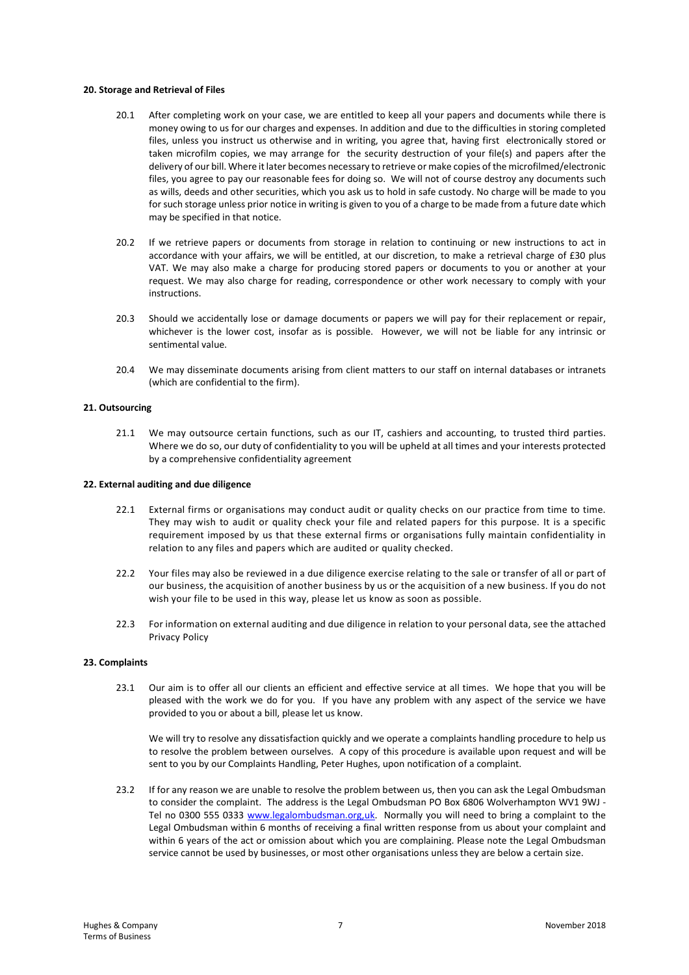### **20. Storage and Retrieval of Files**

- 20.1 After completing work on your case, we are entitled to keep all your papers and documents while there is money owing to us for our charges and expenses. In addition and due to the difficulties in storing completed files, unless you instruct us otherwise and in writing, you agree that, having first electronically stored or taken microfilm copies, we may arrange for the security destruction of your file(s) and papers after the delivery of our bill. Where it later becomes necessary to retrieve or make copies of the microfilmed/electronic files, you agree to pay our reasonable fees for doing so. We will not of course destroy any documents such as wills, deeds and other securities, which you ask us to hold in safe custody. No charge will be made to you for such storage unless prior notice in writing is given to you of a charge to be made from a future date which may be specified in that notice.
- 20.2 If we retrieve papers or documents from storage in relation to continuing or new instructions to act in accordance with your affairs, we will be entitled, at our discretion, to make a retrieval charge of £30 plus VAT. We may also make a charge for producing stored papers or documents to you or another at your request. We may also charge for reading, correspondence or other work necessary to comply with your instructions.
- 20.3 Should we accidentally lose or damage documents or papers we will pay for their replacement or repair, whichever is the lower cost, insofar as is possible. However, we will not be liable for any intrinsic or sentimental value.
- 20.4 We may disseminate documents arising from client matters to our staff on internal databases or intranets (which are confidential to the firm).

## **21. Outsourcing**

21.1 We may outsource certain functions, such as our IT, cashiers and accounting, to trusted third parties. Where we do so, our duty of confidentiality to you will be upheld at all times and your interests protected by a comprehensive confidentiality agreement

## **22. External auditing and due diligence**

- 22.1 External firms or organisations may conduct audit or quality checks on our practice from time to time. They may wish to audit or quality check your file and related papers for this purpose. It is a specific requirement imposed by us that these external firms or organisations fully maintain confidentiality in relation to any files and papers which are audited or quality checked.
- 22.2 Your files may also be reviewed in a due diligence exercise relating to the sale or transfer of all or part of our business, the acquisition of another business by us or the acquisition of a new business. If you do not wish your file to be used in this way, please let us know as soon as possible.
- 22.3 For information on external auditing and due diligence in relation to your personal data, see the attached Privacy Policy

#### **23. Complaints**

23.1 Our aim is to offer all our clients an efficient and effective service at all times. We hope that you will be pleased with the work we do for you. If you have any problem with any aspect of the service we have provided to you or about a bill, please let us know.

We will try to resolve any dissatisfaction quickly and we operate a complaints handling procedure to help us to resolve the problem between ourselves. A copy of this procedure is available upon request and will be sent to you by our Complaints Handling, Peter Hughes, upon notification of a complaint.

23.2 If for any reason we are unable to resolve the problem between us, then you can ask the Legal Ombudsman to consider the complaint. The address is the Legal Ombudsman PO Box 6806 Wolverhampton WV1 9WJ - Tel no 0300 555 0333 www.legalombudsman.org,uk. Normally you will need to bring a complaint to the Legal Ombudsman within 6 months of receiving a final written response from us about your complaint and within 6 years of the act or omission about which you are complaining. Please note the Legal Ombudsman service cannot be used by businesses, or most other organisations unless they are below a certain size.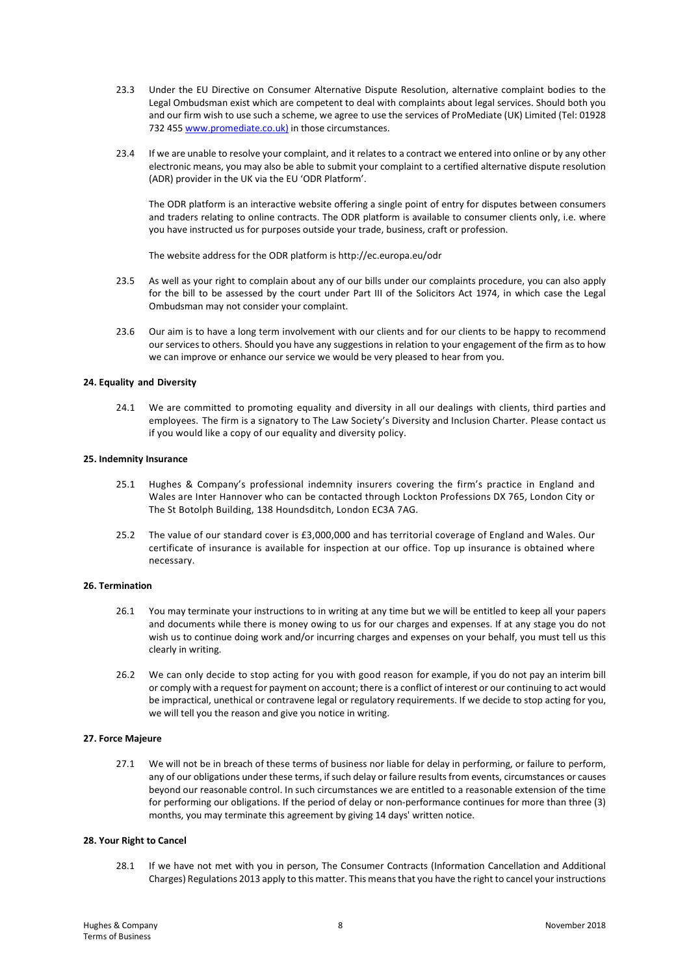- 23.3 Under the EU Directive on Consumer Alternative Dispute Resolution, alternative complaint bodies to the Legal Ombudsman exist which are competent to deal with complaints about legal services. Should both you and our firm wish to use such a scheme, we agree to use the services of ProMediate (UK) Limited (Tel: 01928 732 455 www.promediate.co.uk) in those circumstances.
- 23.4 If we are unable to resolve your complaint, and it relates to a contract we entered into online or by any other electronic means, you may also be able to submit your complaint to a certified alternative dispute resolution (ADR) provider in the UK via the EU 'ODR Platform'.

The ODR platform is an interactive website offering a single point of entry for disputes between consumers and traders relating to online contracts. The ODR platform is available to consumer clients only, i.e. where you have instructed us for purposes outside your trade, business, craft or profession.

The website address for the ODR platform is http://ec.europa.eu/odr

- 23.5 As well as your right to complain about any of our bills under our complaints procedure, you can also apply for the bill to be assessed by the court under Part III of the Solicitors Act 1974, in which case the Legal Ombudsman may not consider your complaint.
- 23.6 Our aim is to have a long term involvement with our clients and for our clients to be happy to recommend our services to others. Should you have any suggestions in relation to your engagement of the firm as to how we can improve or enhance our service we would be very pleased to hear from you.

## **24. Equality and Diversity**

24.1 We are committed to promoting equality and diversity in all our dealings with clients, third parties and employees. The firm is a signatory to The Law Society's Diversity and Inclusion Charter. Please contact us if you would like a copy of our equality and diversity policy.

#### **25. Indemnity Insurance**

- 25.1 Hughes & Company's professional indemnity insurers covering the firm's practice in England and Wales are Inter Hannover who can be contacted through Lockton Professions DX 765, London City or The St Botolph Building, 138 Houndsditch, London EC3A 7AG.
- 25.2 The value of our standard cover is £3,000,000 and has territorial coverage of England and Wales. Our certificate of insurance is available for inspection at our office. Top up insurance is obtained where necessary.

## **26. Termination**

- 26.1 You may terminate your instructions to in writing at any time but we will be entitled to keep all your papers and documents while there is money owing to us for our charges and expenses. If at any stage you do not wish us to continue doing work and/or incurring charges and expenses on your behalf, you must tell us this clearly in writing.
- 26.2 We can only decide to stop acting for you with good reason for example, if you do not pay an interim bill or comply with a request for payment on account; there is a conflict of interest or our continuing to act would be impractical, unethical or contravene legal or regulatory requirements. If we decide to stop acting for you, we will tell you the reason and give you notice in writing.

## **27. Force Majeure**

27.1 We will not be in breach of these terms of business nor liable for delay in performing, or failure to perform, any of our obligations under these terms, if such delay or failure results from events, circumstances or causes beyond our reasonable control. In such circumstances we are entitled to a reasonable extension of the time for performing our obligations. If the period of delay or non-performance continues for more than three (3) months, you may terminate this agreement by giving 14 days' written notice.

### **28. Your Right to Cancel**

28.1 If we have not met with you in person, The Consumer Contracts (Information Cancellation and Additional Charges) Regulations 2013 apply to this matter. This means that you have the right to cancel your instructions